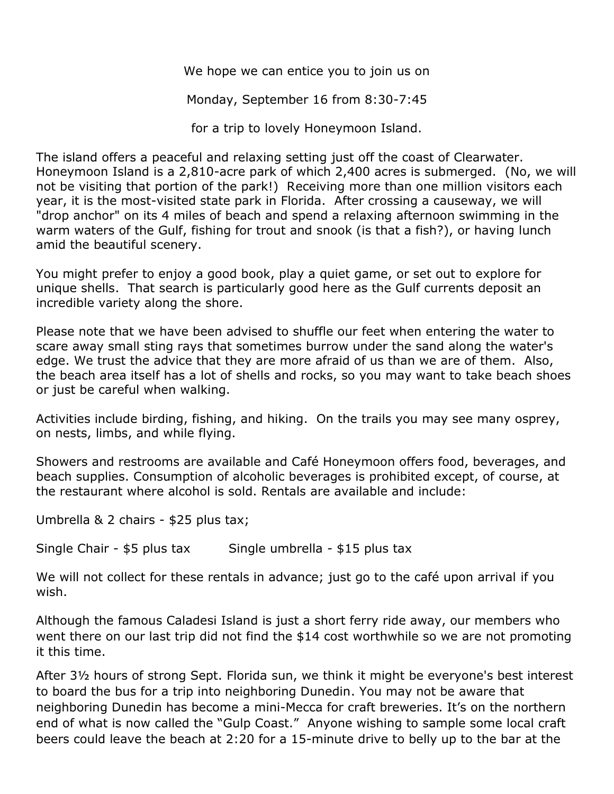We hope we can entice you to join us on

Monday, September 16 from 8:30-7:45

for a trip to lovely Honeymoon Island.

The island offers a peaceful and relaxing setting just off the coast of Clearwater. Honeymoon Island is a 2,810-acre park of which 2,400 acres is submerged. (No, we will not be visiting that portion of the park!) Receiving more than one million visitors each year, it is the most-visited state park in Florida. After crossing a causeway, we will "drop anchor" on its 4 miles of beach and spend a relaxing afternoon swimming in the warm waters of the Gulf, fishing for trout and snook (is that a fish?), or having lunch amid the beautiful scenery.

You might prefer to enjoy a good book, play a quiet game, or set out to explore for unique shells. That search is particularly good here as the Gulf currents deposit an incredible variety along the shore.

Please note that we have been advised to shuffle our feet when entering the water to scare away small sting rays that sometimes burrow under the sand along the water's edge. We trust the advice that they are more afraid of us than we are of them. Also, the beach area itself has a lot of shells and rocks, so you may want to take beach shoes or just be careful when walking.

Activities include [birding,](https://en.wikipedia.org/wiki/Birding) [fishing,](https://en.wikipedia.org/wiki/Fishing) and [hiking.](https://en.wikipedia.org/wiki/Hiking) On the trails you may see many osprey, on nests, limbs, and while flying.

Showers and restrooms are available and Café Honeymoon offers food, beverages, and beach supplies. Consumption of alcoholic beverages is prohibited except, of course, at the restaurant where alcohol is sold. Rentals are available and include:

Umbrella & 2 chairs - \$25 plus tax;

Single Chair - \$5 plus tax Single umbrella - \$15 plus tax

We will not collect for these rentals in advance; just go to the café upon arrival if you wish.

Although the famous Caladesi Island is just a short ferry ride away, our members who went there on our last trip did not find the \$14 cost worthwhile so we are not promoting it this time.

After 3½ hours of strong Sept. Florida sun, we think it might be everyone's best interest to board the bus for a trip into neighboring Dunedin. You may not be aware that neighboring Dunedin has become a mini-Mecca for craft breweries. It's on the northern end of what is now called the "Gulp Coast." Anyone wishing to sample some local craft beers could leave the beach at 2:20 for a 15-minute drive to belly up to the bar at the